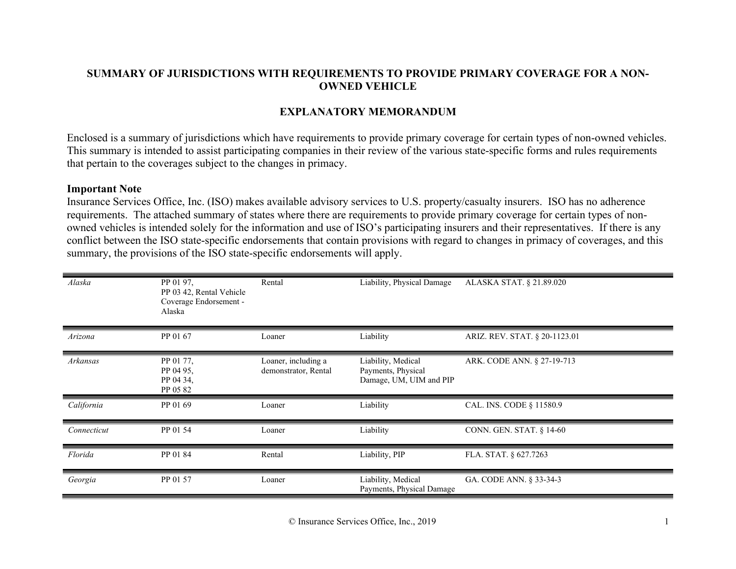## **SUMMARY OF JURISDICTIONS WITH REQUIREMENTS TO PROVIDE PRIMARY COVERAGE FOR A NON-OWNED VEHICLE**

## **EXPLANATORY MEMORANDUM**

Enclosed is a summary of jurisdictions which have requirements to provide primary coverage for certain types of non-owned vehicles. This summary is intended to assist participating companies in their review of the various state-specific forms and rules requirements that pertain to the coverages subject to the changes in primacy.

## **Important Note**

Insurance Services Office, Inc. (ISO) makes available advisory services to U.S. property/casualty insurers. ISO has no adherence requirements. The attached summary of states where there are requirements to provide primary coverage for certain types of nonowned vehicles is intended solely for the information and use of ISO's participating insurers and their representatives. If there is any conflict between the ISO state-specific endorsements that contain provisions with regard to changes in primacy of coverages, and this summary, the provisions of the ISO state-specific endorsements will apply.

| Alaska      | PP 01 97,<br>PP 03 42, Rental Vehicle<br>Coverage Endorsement -<br>Alaska | Rental                                      | Liability, Physical Damage                                          | ALASKA STAT. § 21.89.020      |
|-------------|---------------------------------------------------------------------------|---------------------------------------------|---------------------------------------------------------------------|-------------------------------|
| Arizona     | PP 01 67                                                                  | Loaner                                      | Liability                                                           | ARIZ. REV. STAT. § 20-1123.01 |
| Arkansas    | PP 01 77,<br>PP 04 95,<br>PP 04 34,<br>PP 05 82                           | Loaner, including a<br>demonstrator, Rental | Liability, Medical<br>Payments, Physical<br>Damage, UM, UIM and PIP | ARK. CODE ANN. § 27-19-713    |
| California  | PP 01 69                                                                  | Loaner                                      | Liability                                                           | CAL. INS. CODE § 11580.9      |
| Connecticut | PP 01 54                                                                  | Loaner                                      | Liability                                                           | CONN. GEN. STAT. § 14-60      |
| Florida     | PP 01 84                                                                  | Rental                                      | Liability, PIP                                                      | FLA. STAT. § 627.7263         |
| Georgia     | PP 01 57                                                                  | Loaner                                      | Liability, Medical<br>Payments, Physical Damage                     | GA. CODE ANN. § 33-34-3       |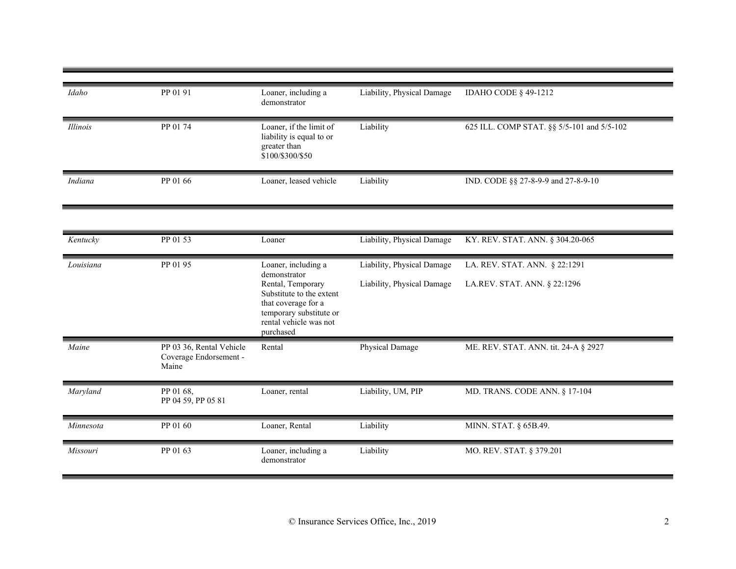| Idaho           | PP 01 91                                                    | Loaner, including a                                                                                                                    | Liability, Physical Damage | <b>IDAHO CODE § 49-1212</b>                |
|-----------------|-------------------------------------------------------------|----------------------------------------------------------------------------------------------------------------------------------------|----------------------------|--------------------------------------------|
|                 |                                                             | demonstrator                                                                                                                           |                            |                                            |
| <b>Illinois</b> | PP 01 74                                                    | Loaner, if the limit of<br>liability is equal to or<br>greater than<br>\$100/\$300/\$50                                                | Liability                  | 625 ILL. COMP STAT. §§ 5/5-101 and 5/5-102 |
| Indiana         | PP 01 66                                                    | Loaner, leased vehicle                                                                                                                 | Liability                  | IND. CODE §§ 27-8-9-9 and 27-8-9-10        |
|                 |                                                             |                                                                                                                                        |                            |                                            |
| Kentucky        | PP 01 53                                                    | Loaner                                                                                                                                 | Liability, Physical Damage | KY. REV. STAT. ANN. § 304.20-065           |
| Louisiana       | PP 01 95                                                    | Loaner, including a<br>demonstrator                                                                                                    | Liability, Physical Damage | LA. REV. STAT. ANN. § 22:1291              |
|                 |                                                             | Rental, Temporary<br>Substitute to the extent<br>that coverage for a<br>temporary substitute or<br>rental vehicle was not<br>purchased | Liability, Physical Damage | LA.REV. STAT. ANN. § 22:1296               |
| Maine           | PP 03 36, Rental Vehicle<br>Coverage Endorsement -<br>Maine | Rental                                                                                                                                 | Physical Damage            | ME. REV. STAT. ANN. tit. 24-A § 2927       |
| Maryland        | PP 01 68,<br>PP 04 59, PP 05 81                             | Loaner, rental                                                                                                                         | Liability, UM, PIP         | MD. TRANS. CODE ANN. § 17-104              |
| Minnesota       | PP 01 60                                                    | Loaner, Rental                                                                                                                         | Liability                  | MINN. STAT. § 65B.49.                      |
| Missouri        | PP 01 63                                                    | Loaner, including a<br>demonstrator                                                                                                    | Liability                  | MO. REV. STAT. § 379.201                   |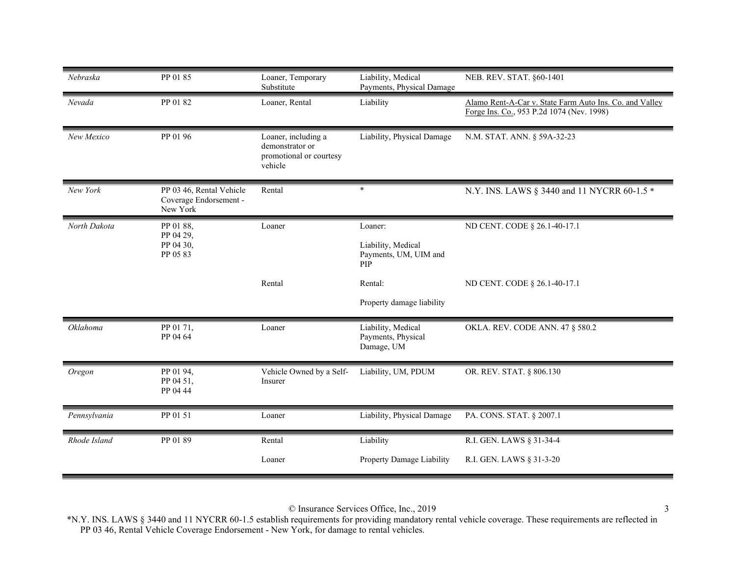| Nebraska     | PP 01 85                                                       | Loaner, Temporary<br>Substitute                                              | Liability, Medical<br>Payments, Physical Damage               | NEB. REV. STAT. §60-1401                                                                             |
|--------------|----------------------------------------------------------------|------------------------------------------------------------------------------|---------------------------------------------------------------|------------------------------------------------------------------------------------------------------|
| Nevada       | PP 01 82                                                       | Loaner, Rental                                                               | Liability                                                     | Alamo Rent-A-Car v. State Farm Auto Ins. Co. and Valley<br>Forge Ins. Co., 953 P.2d 1074 (Nev. 1998) |
| New Mexico   | PP 01 96                                                       | Loaner, including a<br>demonstrator or<br>promotional or courtesy<br>vehicle | Liability, Physical Damage                                    | N.M. STAT. ANN. § 59A-32-23                                                                          |
| New York     | PP 03 46, Rental Vehicle<br>Coverage Endorsement -<br>New York | Rental                                                                       | $\ast$                                                        | N.Y. INS. LAWS § 3440 and 11 NYCRR 60-1.5 *                                                          |
| North Dakota | PP 01 88,<br>PP 04 29,<br>PP 04 30,<br>PP 05 83                | Loaner                                                                       | Loaner:<br>Liability, Medical<br>Payments, UM, UIM and<br>PIP | ND CENT. CODE § 26.1-40-17.1                                                                         |
|              |                                                                | Rental                                                                       | Rental:<br>Property damage liability                          | ND CENT. CODE § 26.1-40-17.1                                                                         |
| Oklahoma     | PP 01 71,<br>PP 04 64                                          | Loaner                                                                       | Liability, Medical<br>Payments, Physical<br>Damage, UM        | <b>OKLA. REV. CODE ANN. 47 § 580.2</b>                                                               |
| Oregon       | PP 01 94,<br>PP 04 51,<br>PP 04 44                             | Vehicle Owned by a Self-<br>Insurer                                          | Liability, UM, PDUM                                           | OR. REV. STAT. § 806.130                                                                             |
| Pennsylvania | PP 01 51                                                       | Loaner                                                                       | Liability, Physical Damage                                    | PA. CONS. STAT. § 2007.1                                                                             |
| Rhode Island | PP 01 89                                                       | Rental<br>Loaner                                                             | Liability<br>Property Damage Liability                        | R.I. GEN. LAWS § 31-34-4<br>R.I. GEN. LAWS § 31-3-20                                                 |

© Insurance Services Office, Inc., 2019 3

\*N.Y. INS. LAWS § 3440 and 11 NYCRR 60-1.5 establish requirements for providing mandatory rental vehicle coverage. These requirements are reflected in PP 03 46, Rental Vehicle Coverage Endorsement - New York, for damage to rental vehicles.